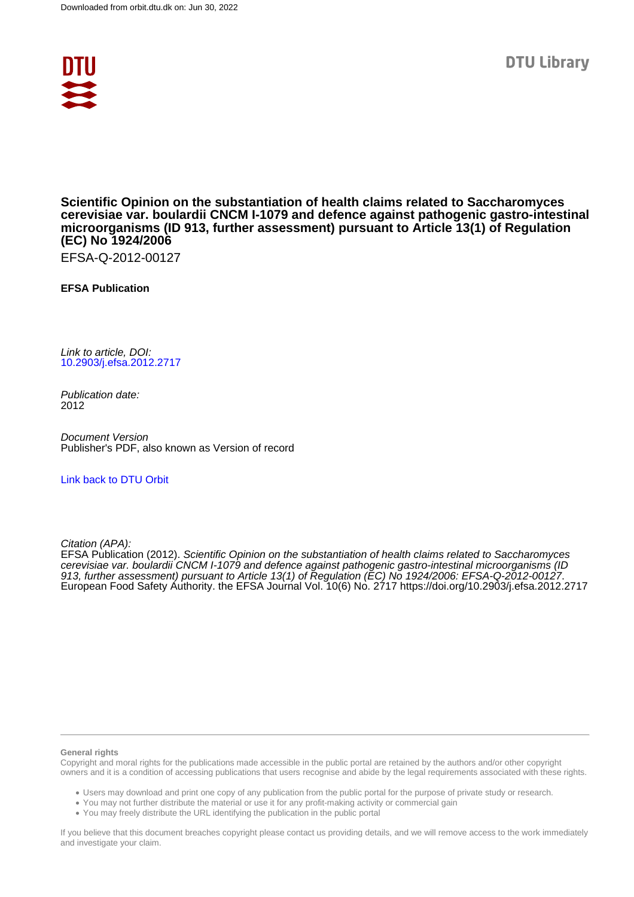

**Scientific Opinion on the substantiation of health claims related to Saccharomyces cerevisiae var. boulardii CNCM I-1079 and defence against pathogenic gastro-intestinal microorganisms (ID 913, further assessment) pursuant to Article 13(1) of Regulation (EC) No 1924/2006**

EFSA-Q-2012-00127

**EFSA Publication**

Link to article, DOI: [10.2903/j.efsa.2012.2717](https://doi.org/10.2903/j.efsa.2012.2717)

Publication date: 2012

Document Version Publisher's PDF, also known as Version of record

#### [Link back to DTU Orbit](https://orbit.dtu.dk/en/publications/4b4f8a5f-83e3-4af3-b4e1-2e9349ef3c23)

Citation (APA):

EFSA Publication (2012). Scientific Opinion on the substantiation of health claims related to Saccharomyces cerevisiae var. boulardii CNCM I-1079 and defence against pathogenic gastro-intestinal microorganisms (ID 913, further assessment) pursuant to Article 13(1) of Regulation (EC) No 1924/2006: EFSA-Q-2012-00127. European Food Safety Authority. the EFSA Journal Vol. 10(6) No. 2717 <https://doi.org/10.2903/j.efsa.2012.2717>

#### **General rights**

Copyright and moral rights for the publications made accessible in the public portal are retained by the authors and/or other copyright owners and it is a condition of accessing publications that users recognise and abide by the legal requirements associated with these rights.

Users may download and print one copy of any publication from the public portal for the purpose of private study or research.

- You may not further distribute the material or use it for any profit-making activity or commercial gain
- You may freely distribute the URL identifying the publication in the public portal

If you believe that this document breaches copyright please contact us providing details, and we will remove access to the work immediately and investigate your claim.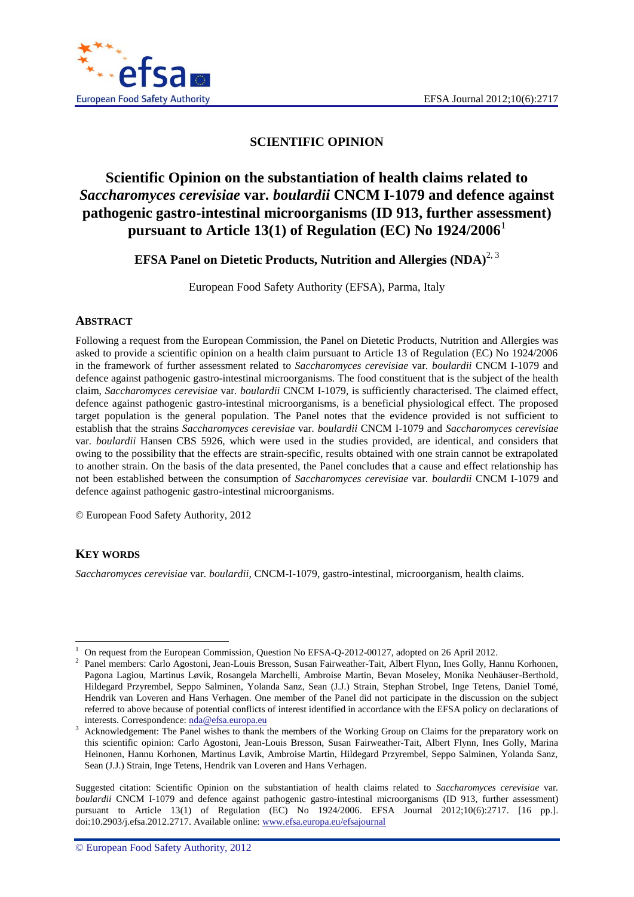

## **SCIENTIFIC OPINION**

# **Scientific Opinion on the substantiation of health claims related to**  *Saccharomyces cerevisiae* **var***. boulardii* **CNCM I-1079 and defence against pathogenic gastro-intestinal microorganisms (ID 913, further assessment) pursuant to Article 13(1) of Regulation (EC) No 1924/2006**<sup>1</sup>

**EFSA Panel on Dietetic Products, Nutrition and Allergies (NDA)<sup>2, 3</sup>** 

European Food Safety Authority (EFSA), Parma, Italy

#### <span id="page-1-0"></span>**ABSTRACT**

Following a request from the European Commission, the Panel on Dietetic Products, Nutrition and Allergies was asked to provide a scientific opinion on a health claim pursuant to Article 13 of Regulation (EC) No 1924/2006 in the framework of further assessment related to *Saccharomyces cerevisiae* var*. boulardii* CNCM I-1079 and defence against pathogenic gastro-intestinal microorganisms. The food constituent that is the subject of the health claim, *Saccharomyces cerevisiae* var*. boulardii* CNCM I-1079, is sufficiently characterised. The claimed effect, defence against pathogenic gastro-intestinal microorganisms, is a beneficial physiological effect. The proposed target population is the general population. The Panel notes that the evidence provided is not sufficient to establish that the strains *Saccharomyces cerevisiae* var*. boulardii* CNCM I-1079 and *Saccharomyces cerevisiae*  var*. boulardii* Hansen CBS 5926, which were used in the studies provided, are identical, and considers that owing to the possibility that the effects are strain-specific, results obtained with one strain cannot be extrapolated to another strain. On the basis of the data presented, the Panel concludes that a cause and effect relationship has not been established between the consumption of *Saccharomyces cerevisiae* var*. boulardii* CNCM I-1079 and defence against pathogenic gastro-intestinal microorganisms.

© European Food Safety Authority, 2012

### <span id="page-1-1"></span>**KEY WORDS**

l

*Saccharomyces cerevisiae* var*. boulardii,* CNCM-I-1079, gastro-intestinal, microorganism, health claims.

Suggested citation: Scientific Opinion on the substantiation of health claims related to *Saccharomyces cerevisiae* var*. boulardii* CNCM I-1079 and defence against pathogenic gastro-intestinal microorganisms (ID 913, further assessment) pursuant to Article 13(1) of Regulation (EC) No 1924/2006. EFSA Journal 2012;10(6):2717. [16 pp.]. doi:10.2903/j.efsa.2012.2717. Available online: www.efsa.europa.eu/efsajournal

<sup>1</sup> On request from the European Commission, Question No EFSA-Q-2012-00127, adopted on 26 April 2012.

<sup>2</sup> Panel members: Carlo Agostoni, Jean-Louis Bresson, Susan Fairweather-Tait, Albert Flynn, Ines Golly, Hannu Korhonen, Pagona Lagiou, Martinus Løvik, Rosangela Marchelli, Ambroise Martin, Bevan Moseley, Monika Neuhäuser-Berthold, Hildegard Przyrembel, Seppo Salminen, Yolanda Sanz, Sean (J.J.) Strain, Stephan Strobel, Inge Tetens, Daniel Tomé, Hendrik van Loveren and Hans Verhagen. One member of the Panel did not participate in the discussion on the subject referred to above because of potential conflicts of interest identified in accordance with the EFSA policy on declarations of interests. Correspondence[: nda@efsa.europa.eu](mailto:nda@efsa.europa.eu)

<sup>&</sup>lt;sup>3</sup> Acknowledgement: The Panel wishes to thank the members of the Working Group on Claims for the preparatory work on this scientific opinion: Carlo Agostoni, Jean-Louis Bresson, Susan Fairweather-Tait, Albert Flynn, Ines Golly, Marina Heinonen, Hannu Korhonen, Martinus Løvik, Ambroise Martin, Hildegard Przyrembel, Seppo Salminen, Yolanda Sanz, Sean (J.J.) Strain, Inge Tetens, Hendrik van Loveren and Hans Verhagen.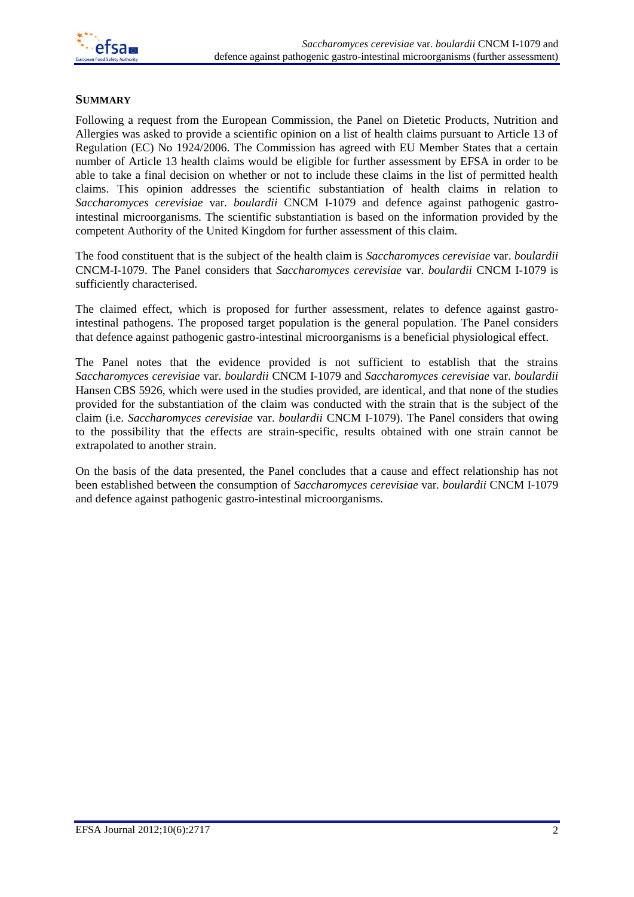

#### <span id="page-2-0"></span>**SUMMARY**

Following a request from the European Commission, the Panel on Dietetic Products, Nutrition and Allergies was asked to provide a scientific opinion on a list of health claims pursuant to Article 13 of Regulation (EC) No 1924/2006. The Commission has agreed with EU Member States that a certain number of Article 13 health claims would be eligible for further assessment by EFSA in order to be able to take a final decision on whether or not to include these claims in the list of permitted health claims. This opinion addresses the scientific substantiation of health claims in relation to *Saccharomyces cerevisiae* var*. boulardii* CNCM I-1079 and defence against pathogenic gastrointestinal microorganisms. The scientific substantiation is based on the information provided by the competent Authority of the United Kingdom for further assessment of this claim.

The food constituent that is the subject of the health claim is *Saccharomyces cerevisiae* var. *boulardii* CNCM-I-1079. The Panel considers that *Saccharomyces cerevisiae* var. *boulardii* CNCM I-1079 is sufficiently characterised.

The claimed effect, which is proposed for further assessment, relates to defence against gastrointestinal pathogens. The proposed target population is the general population. The Panel considers that defence against pathogenic gastro-intestinal microorganisms is a beneficial physiological effect.

The Panel notes that the evidence provided is not sufficient to establish that the strains *Saccharomyces cerevisiae* var. *boulardii* CNCM I-1079 and *Saccharomyces cerevisiae* var. *boulardii* Hansen CBS 5926, which were used in the studies provided, are identical, and that none of the studies provided for the substantiation of the claim was conducted with the strain that is the subject of the claim (i.e. *Saccharomyces cerevisiae* var. *boulardii* CNCM I-1079). The Panel considers that owing to the possibility that the effects are strain-specific, results obtained with one strain cannot be extrapolated to another strain.

On the basis of the data presented, the Panel concludes that a cause and effect relationship has not been established between the consumption of *Saccharomyces cerevisiae* var*. boulardii* CNCM I-1079 and defence against pathogenic gastro-intestinal microorganisms.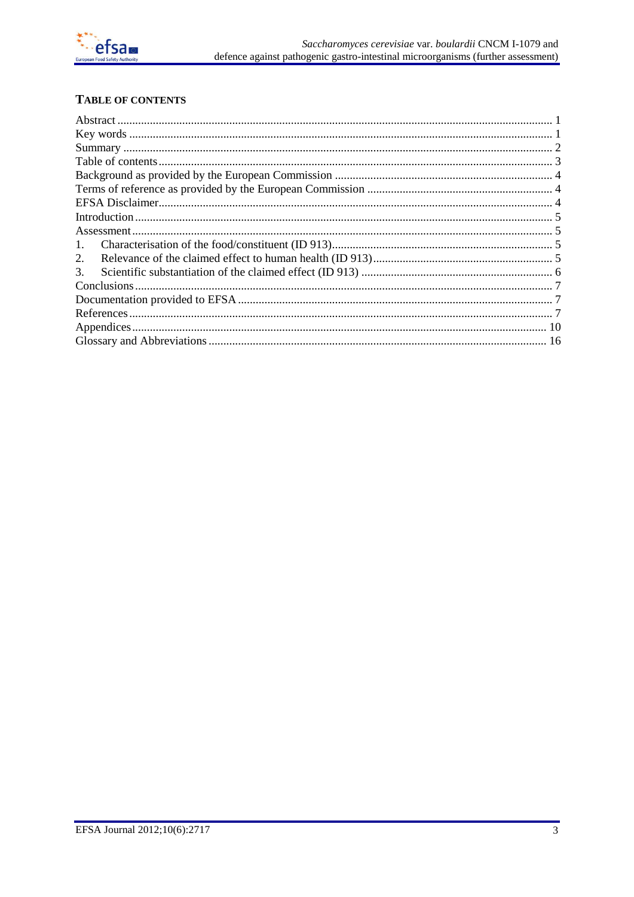

## <span id="page-3-0"></span>TABLE OF CONTENTS

| 2. |  |  |
|----|--|--|
| 3. |  |  |
|    |  |  |
|    |  |  |
|    |  |  |
|    |  |  |
|    |  |  |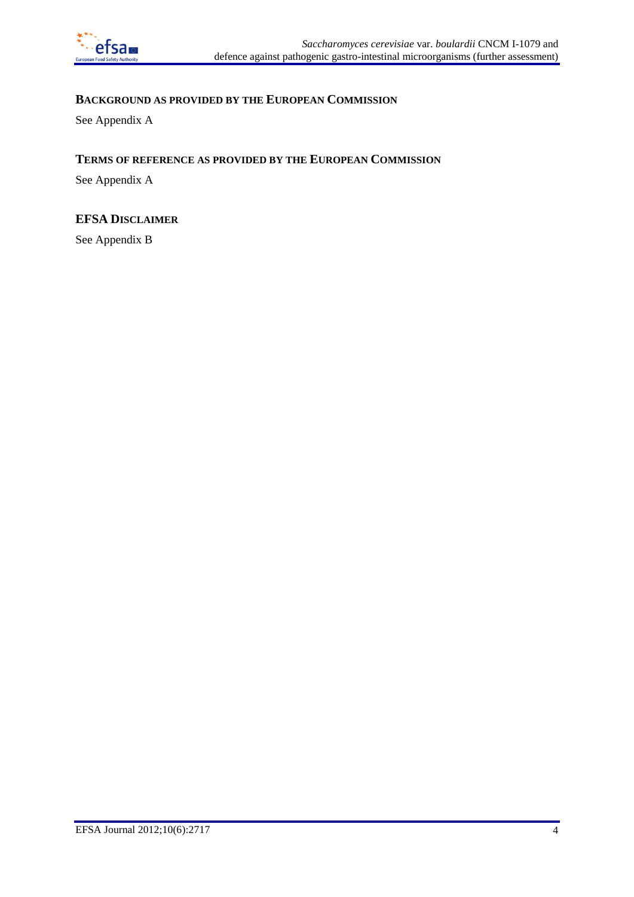

### <span id="page-4-0"></span>**BACKGROUND AS PROVIDED BY THE EUROPEAN COMMISSION**

See Appendix A

### <span id="page-4-1"></span>**TERMS OF REFERENCE AS PROVIDED BY THE EUROPEAN COMMISSION**

See Appendix A

### <span id="page-4-2"></span>**EFSA DISCLAIMER**

See Appendix B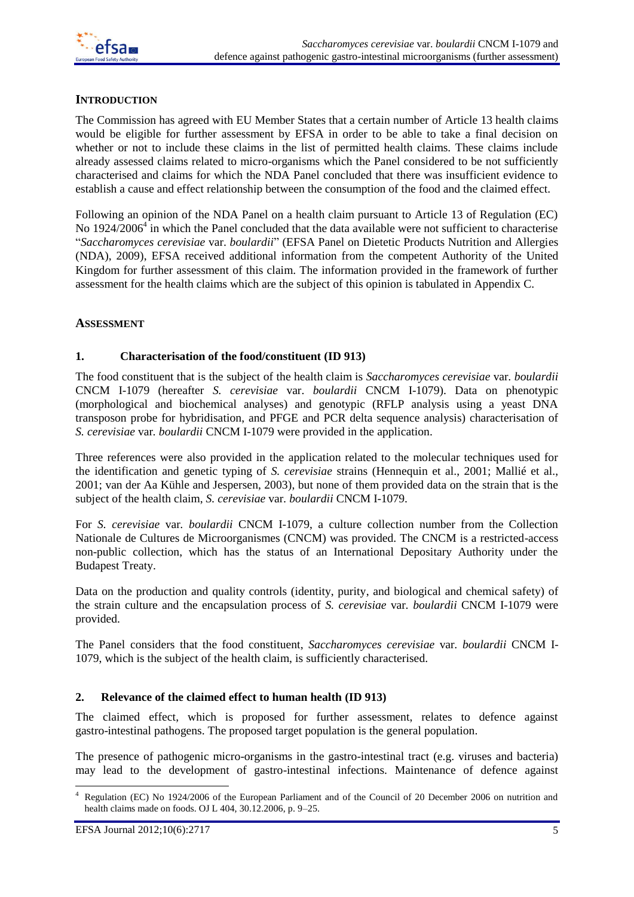### <span id="page-5-0"></span>**INTRODUCTION**

The Commission has agreed with EU Member States that a certain number of Article 13 health claims would be eligible for further assessment by EFSA in order to be able to take a final decision on whether or not to include these claims in the list of permitted health claims. These claims include already assessed claims related to micro-organisms which the Panel considered to be not sufficiently characterised and claims for which the NDA Panel concluded that there was insufficient evidence to establish a cause and effect relationship between the consumption of the food and the claimed effect.

Following an opinion of the NDA Panel on a health claim pursuant to Article 13 of Regulation (EC) No 1924/2006<sup>4</sup> in which the Panel concluded that the data available were not sufficient to characterise "*Saccharomyces cerevisiae* var. *boulardii*" [\(EFSA Panel on Dietetic Products Nutrition and Allergies](#page-7-3)  [\(NDA\), 2009\)](#page-7-3), EFSA received additional information from the competent Authority of the United Kingdom for further assessment of this claim. The information provided in the framework of further assessment for the health claims which are the subject of this opinion is tabulated in Appendix C.

### <span id="page-5-1"></span>**ASSESSMENT**

### <span id="page-5-2"></span>**1. Characterisation of the food/constituent (ID 913)**

The food constituent that is the subject of the health claim is *Saccharomyces cerevisiae* var*. boulardii*  CNCM I-1079 (hereafter *S. cerevisiae* var. *boulardii* CNCM I-1079). Data on phenotypic (morphological and biochemical analyses) and genotypic (RFLP analysis using a yeast DNA transposon probe for hybridisation, and PFGE and PCR delta sequence analysis) characterisation of *S. cerevisiae* var*. boulardii* CNCM I-1079 were provided in the application.

Three references were also provided in the application related to the molecular techniques used for the identification and genetic typing of *S. cerevisiae* strains [\(Hennequin et al., 2001;](#page-8-0) [Mallié et al.,](#page-8-1)  [2001;](#page-8-1) [van der Aa Kühle and Jespersen, 2003\)](#page-8-2), but none of them provided data on the strain that is the subject of the health claim, *S. cerevisiae* var*. boulardii* CNCM I-1079.

For *S. cerevisiae* var*. boulardii* CNCM I-1079, a culture collection number from the Collection Nationale de Cultures de Microorganismes (CNCM) was provided. The CNCM is a restricted-access non-public collection, which has the status of an International Depositary Authority under the Budapest Treaty.

Data on the production and quality controls (identity, purity, and biological and chemical safety) of the strain culture and the encapsulation process of *S. cerevisiae* var*. boulardii* CNCM I-1079 were provided.

The Panel considers that the food constituent, *Saccharomyces cerevisiae* var*. boulardii* CNCM I-1079, which is the subject of the health claim, is sufficiently characterised.

### <span id="page-5-3"></span>**2. Relevance of the claimed effect to human health (ID 913)**

The claimed effect, which is proposed for further assessment, relates to defence against gastro-intestinal pathogens. The proposed target population is the general population.

The presence of pathogenic micro-organisms in the gastro-intestinal tract (e.g. viruses and bacteria) may lead to the development of gastro-intestinal infections. Maintenance of defence against

l <sup>4</sup> Regulation (EC) No 1924/2006 of the European Parliament and of the Council of 20 December 2006 on nutrition and health claims made on foods. OJ L 404, 30.12.2006, p. 9–25.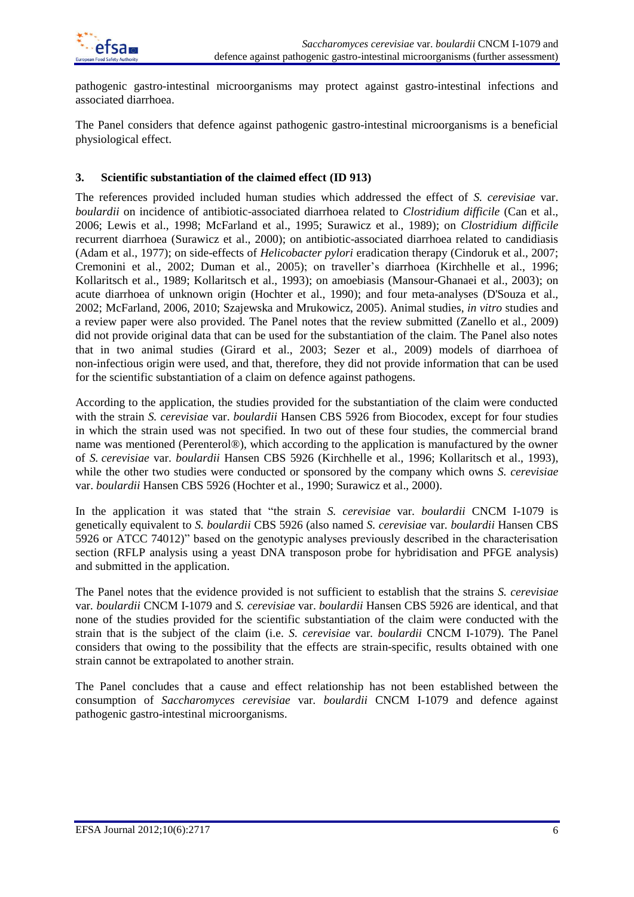pathogenic gastro-intestinal microorganisms may protect against gastro-intestinal infections and associated diarrhoea.

The Panel considers that defence against pathogenic gastro-intestinal microorganisms is a beneficial physiological effect.

### <span id="page-6-0"></span>**3. Scientific substantiation of the claimed effect (ID 913)**

The references provided included human studies which addressed the effect of *S. cerevisiae* var. *boulardii* on incidence of antibiotic-associated diarrhoea related to *Clostridium difficile* [\(Can et al.,](#page-7-4)  [2006;](#page-7-4) [Lewis et al., 1998;](#page-8-3) [McFarland et al., 1995;](#page-8-4) [Surawicz et al., 1989\)](#page-8-5); on *Clostridium difficile* recurrent diarrhoea [\(Surawicz et al., 2000\)](#page-8-6); on antibiotic-associated diarrhoea related to candidiasis [\(Adam et al., 1977\)](#page-7-5); on side-effects of *Helicobacter pylori* eradication therapy [\(Cindoruk et al., 2007;](#page-7-6) [Cremonini et al., 2002;](#page-7-7) [Duman et al., 2005\)](#page-7-8); on traveller's diarrhoea [\(Kirchhelle et al., 1996;](#page-8-7) [Kollaritsch et al., 1989;](#page-8-8) [Kollaritsch et al., 1993\)](#page-8-9); on amoebiasis [\(Mansour-Ghanaei et al., 2003\)](#page-8-10); on acute diarrhoea of unknown origin [\(Hochter et al., 1990\)](#page-8-11); and four meta-analyses [\(D'Souza et al.,](#page-7-9)  [2002;](#page-7-9) [McFarland, 2006,](#page-8-12) [2010;](#page-8-13) [Szajewska and Mrukowicz, 2005\)](#page-8-14). Animal studies, *in vitro* studies and a review paper were also provided. The Panel notes that the review submitted [\(Zanello et al., 2009\)](#page-9-0) did not provide original data that can be used for the substantiation of the claim. The Panel also notes that in two animal studies [\(Girard et al., 2003;](#page-8-15) [Sezer et al., 2009\)](#page-8-16) models of diarrhoea of non-infectious origin were used, and that, therefore, they did not provide information that can be used for the scientific substantiation of a claim on defence against pathogens.

According to the application, the studies provided for the substantiation of the claim were conducted with the strain *S. cerevisiae* var. *boulardii* Hansen CBS 5926 from Biocodex, except for four studies in which the strain used was not specified. In two out of these four studies, the commercial brand name was mentioned (Perenterol®), which according to the application is manufactured by the owner of *S. cerevisiae* var. *boulardii* Hansen CBS 5926 [\(Kirchhelle et al., 1996;](#page-8-7) [Kollaritsch et al., 1993\)](#page-8-9), while the other two studies were conducted or sponsored by the company which owns *S. cerevisiae*  var. *boulardii* Hansen CBS 5926 [\(Hochter et al., 1990;](#page-8-11) [Surawicz et al., 2000\)](#page-8-6).

In the application it was stated that "the strain *S. cerevisiae* var*. boulardii* CNCM I-1079 is genetically equivalent to *S. boulardii* CBS 5926 (also named *S. cerevisiae* var*. boulardii* Hansen CBS 5926 or ATCC 74012)" based on the genotypic analyses previously described in the characterisation section (RFLP analysis using a yeast DNA transposon probe for hybridisation and PFGE analysis) and submitted in the application.

The Panel notes that the evidence provided is not sufficient to establish that the strains *S. cerevisiae*  var*. boulardii* CNCM I-1079 and *S. cerevisiae* var. *boulardii* Hansen CBS 5926 are identical, and that none of the studies provided for the scientific substantiation of the claim were conducted with the strain that is the subject of the claim (i.e. *S. cerevisiae* var*. boulardii* CNCM I-1079). The Panel considers that owing to the possibility that the effects are strain-specific, results obtained with one strain cannot be extrapolated to another strain.

The Panel concludes that a cause and effect relationship has not been established between the consumption of *Saccharomyces cerevisiae* var*. boulardii* CNCM I-1079 and defence against pathogenic gastro-intestinal microorganisms.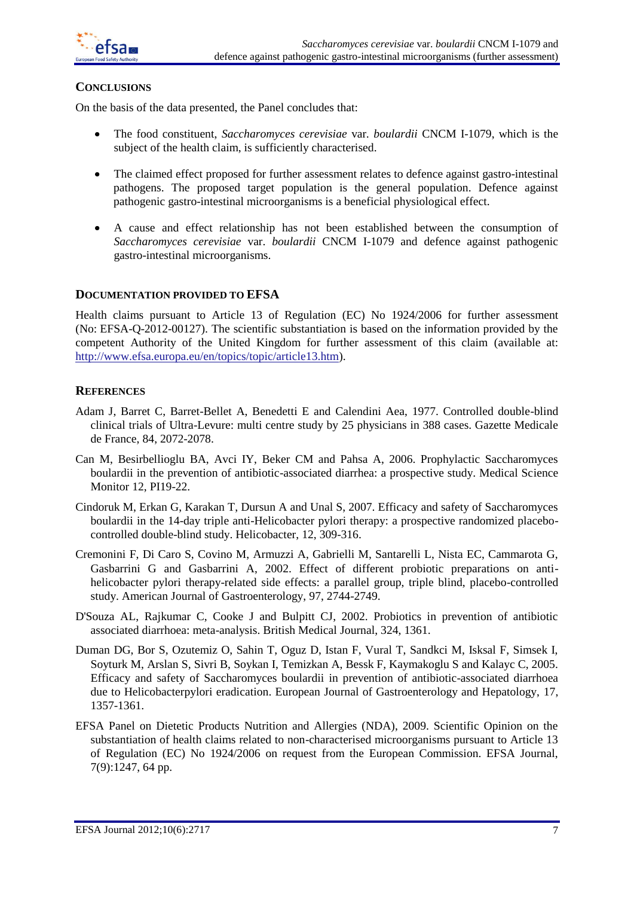

## <span id="page-7-0"></span>**CONCLUSIONS**

On the basis of the data presented, the Panel concludes that:

- The food constituent, *Saccharomyces cerevisiae* var*. boulardii* CNCM I-1079, which is the subject of the health claim, is sufficiently characterised.
- The claimed effect proposed for further assessment relates to defence against gastro-intestinal pathogens. The proposed target population is the general population. Defence against pathogenic gastro-intestinal microorganisms is a beneficial physiological effect.
- A cause and effect relationship has not been established between the consumption of *Saccharomyces cerevisiae* var. *boulardii* CNCM I-1079 and defence against pathogenic gastro-intestinal microorganisms.

### <span id="page-7-1"></span>**DOCUMENTATION PROVIDED TO EFSA**

Health claims pursuant to Article 13 of Regulation (EC) No 1924/2006 for further assessment (No: EFSA-Q-2012-00127). The scientific substantiation is based on the information provided by the competent Authority of the United Kingdom for further assessment of this claim (available at: [http://www.efsa.europa.eu/en/topics/topic/article13.htm\)](http://www.efsa.europa.eu/en/topics/topic/article13.htm).

#### <span id="page-7-2"></span>**REFERENCES**

- <span id="page-7-5"></span>Adam J, Barret C, Barret-Bellet A, Benedetti E and Calendini Aea, 1977. Controlled double-blind clinical trials of Ultra-Levure: multi centre study by 25 physicians in 388 cases. Gazette Medicale de France, 84, 2072-2078.
- <span id="page-7-4"></span>Can M, Besirbellioglu BA, Avci IY, Beker CM and Pahsa A, 2006. Prophylactic Saccharomyces boulardii in the prevention of antibiotic-associated diarrhea: a prospective study. Medical Science Monitor 12, PI19-22.
- <span id="page-7-6"></span>Cindoruk M, Erkan G, Karakan T, Dursun A and Unal S, 2007. Efficacy and safety of Saccharomyces boulardii in the 14-day triple anti-Helicobacter pylori therapy: a prospective randomized placebocontrolled double-blind study. Helicobacter, 12, 309-316.
- <span id="page-7-7"></span>Cremonini F, Di Caro S, Covino M, Armuzzi A, Gabrielli M, Santarelli L, Nista EC, Cammarota G, Gasbarrini G and Gasbarrini A, 2002. Effect of different probiotic preparations on antihelicobacter pylori therapy-related side effects: a parallel group, triple blind, placebo-controlled study. American Journal of Gastroenterology, 97, 2744-2749.
- <span id="page-7-9"></span>D'Souza AL, Rajkumar C, Cooke J and Bulpitt CJ, 2002. Probiotics in prevention of antibiotic associated diarrhoea: meta-analysis. British Medical Journal, 324, 1361.
- <span id="page-7-8"></span>Duman DG, Bor S, Ozutemiz O, Sahin T, Oguz D, Istan F, Vural T, Sandkci M, Isksal F, Simsek I, Soyturk M, Arslan S, Sivri B, Soykan I, Temizkan A, Bessk F, Kaymakoglu S and Kalayc C, 2005. Efficacy and safety of Saccharomyces boulardii in prevention of antibiotic-associated diarrhoea due to Helicobacterpylori eradication. European Journal of Gastroenterology and Hepatology, 17, 1357-1361.
- <span id="page-7-3"></span>EFSA Panel on Dietetic Products Nutrition and Allergies (NDA), 2009. Scientific Opinion on the substantiation of health claims related to non-characterised microorganisms pursuant to Article 13 of Regulation (EC) No 1924/2006 on request from the European Commission. EFSA Journal, 7(9):1247, 64 pp.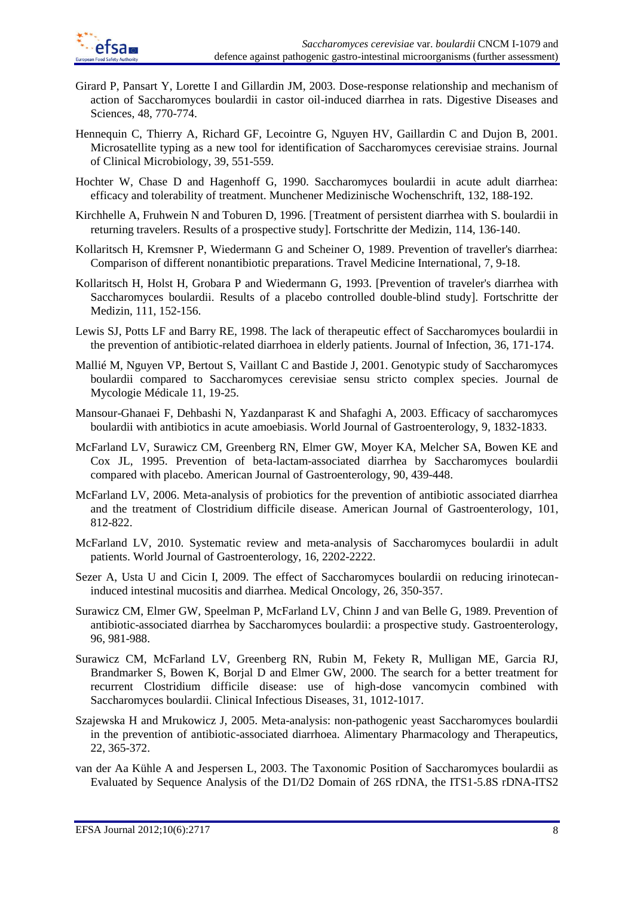

- <span id="page-8-15"></span>Girard P, Pansart Y, Lorette I and Gillardin JM, 2003. Dose-response relationship and mechanism of action of Saccharomyces boulardii in castor oil-induced diarrhea in rats. Digestive Diseases and Sciences, 48, 770-774.
- <span id="page-8-0"></span>Hennequin C, Thierry A, Richard GF, Lecointre G, Nguyen HV, Gaillardin C and Dujon B, 2001. Microsatellite typing as a new tool for identification of Saccharomyces cerevisiae strains. Journal of Clinical Microbiology, 39, 551-559.
- <span id="page-8-11"></span>Hochter W, Chase D and Hagenhoff G, 1990. Saccharomyces boulardii in acute adult diarrhea: efficacy and tolerability of treatment. Munchener Medizinische Wochenschrift, 132, 188-192.
- <span id="page-8-7"></span>Kirchhelle A, Fruhwein N and Toburen D, 1996. [Treatment of persistent diarrhea with S. boulardii in returning travelers. Results of a prospective study]. Fortschritte der Medizin, 114, 136-140.
- <span id="page-8-8"></span>Kollaritsch H, Kremsner P, Wiedermann G and Scheiner O, 1989. Prevention of traveller's diarrhea: Comparison of different nonantibiotic preparations. Travel Medicine International, 7, 9-18.
- <span id="page-8-9"></span>Kollaritsch H, Holst H, Grobara P and Wiedermann G, 1993. [Prevention of traveler's diarrhea with Saccharomyces boulardii. Results of a placebo controlled double-blind study]. Fortschritte der Medizin, 111, 152-156.
- <span id="page-8-3"></span>Lewis SJ, Potts LF and Barry RE, 1998. The lack of therapeutic effect of Saccharomyces boulardii in the prevention of antibiotic-related diarrhoea in elderly patients. Journal of Infection, 36, 171-174.
- <span id="page-8-1"></span>Mallié M, Nguyen VP, Bertout S, Vaillant C and Bastide J, 2001. Genotypic study of Saccharomyces boulardii compared to Saccharomyces cerevisiae sensu stricto complex species. Journal de Mycologie Médicale 11, 19-25.
- <span id="page-8-10"></span>Mansour-Ghanaei F, Dehbashi N, Yazdanparast K and Shafaghi A, 2003. Efficacy of saccharomyces boulardii with antibiotics in acute amoebiasis. World Journal of Gastroenterology, 9, 1832-1833.
- <span id="page-8-4"></span>McFarland LV, Surawicz CM, Greenberg RN, Elmer GW, Moyer KA, Melcher SA, Bowen KE and Cox JL, 1995. Prevention of beta-lactam-associated diarrhea by Saccharomyces boulardii compared with placebo. American Journal of Gastroenterology, 90, 439-448.
- <span id="page-8-12"></span>McFarland LV, 2006. Meta-analysis of probiotics for the prevention of antibiotic associated diarrhea and the treatment of Clostridium difficile disease. American Journal of Gastroenterology, 101, 812-822.
- <span id="page-8-13"></span>McFarland LV, 2010. Systematic review and meta-analysis of Saccharomyces boulardii in adult patients. World Journal of Gastroenterology, 16, 2202-2222.
- <span id="page-8-16"></span>Sezer A, Usta U and Cicin I, 2009. The effect of Saccharomyces boulardii on reducing irinotecaninduced intestinal mucositis and diarrhea. Medical Oncology, 26, 350-357.
- <span id="page-8-5"></span>Surawicz CM, Elmer GW, Speelman P, McFarland LV, Chinn J and van Belle G, 1989. Prevention of antibiotic-associated diarrhea by Saccharomyces boulardii: a prospective study. Gastroenterology, 96, 981-988.
- <span id="page-8-6"></span>Surawicz CM, McFarland LV, Greenberg RN, Rubin M, Fekety R, Mulligan ME, Garcia RJ, Brandmarker S, Bowen K, Borjal D and Elmer GW, 2000. The search for a better treatment for recurrent Clostridium difficile disease: use of high-dose vancomycin combined with Saccharomyces boulardii. Clinical Infectious Diseases, 31, 1012-1017.
- <span id="page-8-14"></span>Szajewska H and Mrukowicz J, 2005. Meta-analysis: non-pathogenic yeast Saccharomyces boulardii in the prevention of antibiotic-associated diarrhoea. Alimentary Pharmacology and Therapeutics, 22, 365-372.
- <span id="page-8-2"></span>van der Aa Kühle A and Jespersen L, 2003. The Taxonomic Position of Saccharomyces boulardii as Evaluated by Sequence Analysis of the D1/D2 Domain of 26S rDNA, the ITS1-5.8S rDNA-ITS2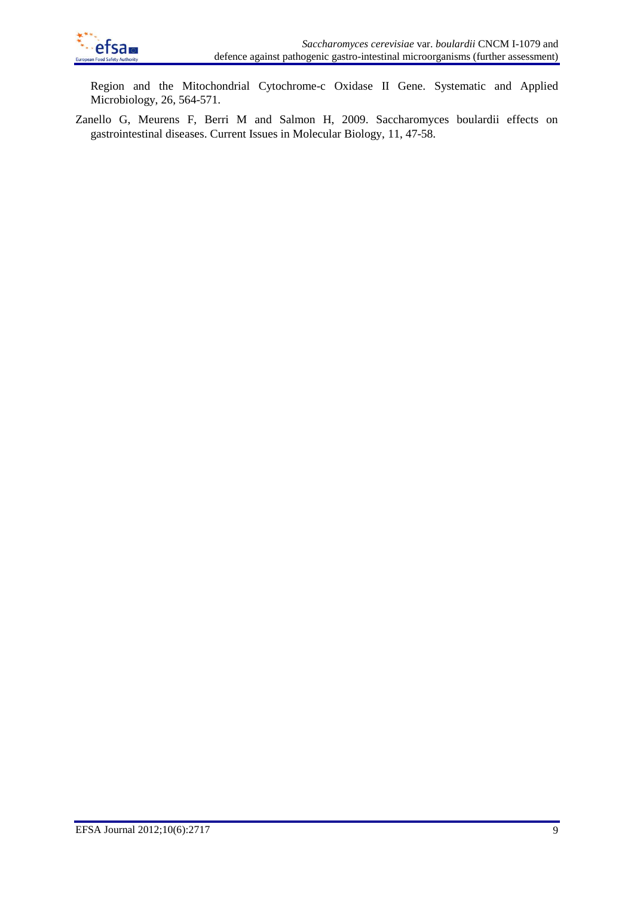Region and the Mitochondrial Cytochrome-c Oxidase II Gene. Systematic and Applied Microbiology, 26, 564-571.

<span id="page-9-0"></span>Zanello G, Meurens F, Berri M and Salmon H, 2009. Saccharomyces boulardii effects on gastrointestinal diseases. Current Issues in Molecular Biology, 11, 47-58.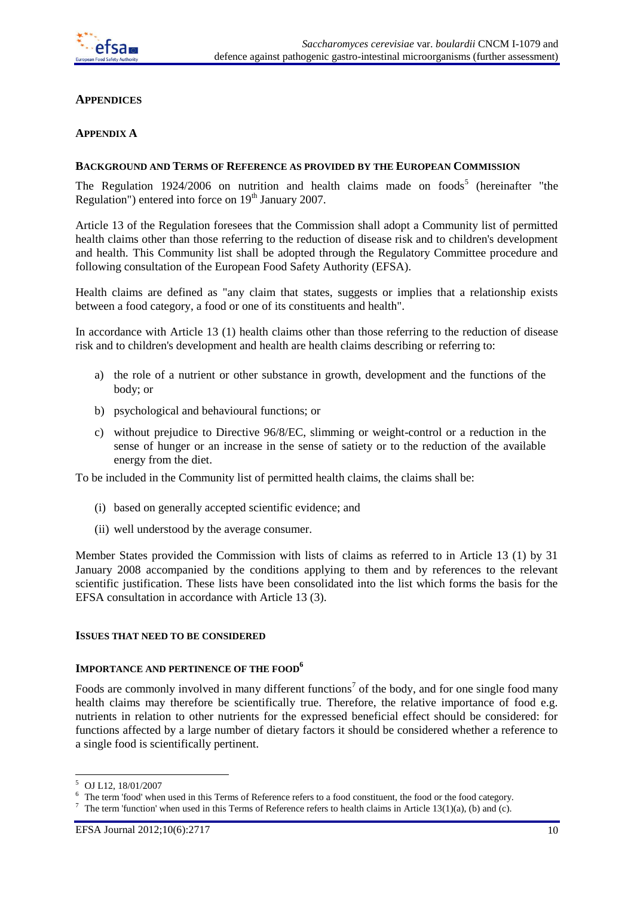

### <span id="page-10-0"></span>**APPENDICES**

#### **APPENDIX A**

#### **BACKGROUND AND TERMS OF REFERENCE AS PROVIDED BY THE EUROPEAN COMMISSION**

The Regulation 1924/2006 on nutrition and health claims made on foods<sup>5</sup> (hereinafter "the Regulation") entered into force on  $19<sup>th</sup>$  January 2007.

Article 13 of the Regulation foresees that the Commission shall adopt a Community list of permitted health claims other than those referring to the reduction of disease risk and to children's development and health. This Community list shall be adopted through the Regulatory Committee procedure and following consultation of the European Food Safety Authority (EFSA).

Health claims are defined as "any claim that states, suggests or implies that a relationship exists between a food category, a food or one of its constituents and health".

In accordance with Article 13 (1) health claims other than those referring to the reduction of disease risk and to children's development and health are health claims describing or referring to:

- a) the role of a nutrient or other substance in growth, development and the functions of the body; or
- b) psychological and behavioural functions; or
- c) without prejudice to Directive 96/8/EC, slimming or weight-control or a reduction in the sense of hunger or an increase in the sense of satiety or to the reduction of the available energy from the diet.

To be included in the Community list of permitted health claims, the claims shall be:

- (i) based on generally accepted scientific evidence; and
- (ii) well understood by the average consumer.

Member States provided the Commission with lists of claims as referred to in Article 13 (1) by 31 January 2008 accompanied by the conditions applying to them and by references to the relevant scientific justification. These lists have been consolidated into the list which forms the basis for the EFSA consultation in accordance with Article 13 (3).

#### **ISSUES THAT NEED TO BE CONSIDERED**

#### **IMPORTANCE AND PERTINENCE OF THE FOOD<sup>6</sup>**

Foods are commonly involved in many different functions<sup>7</sup> of the body, and for one single food many health claims may therefore be scientifically true. Therefore, the relative importance of food e.g. nutrients in relation to other nutrients for the expressed beneficial effect should be considered: for functions affected by a large number of dietary factors it should be considered whether a reference to a single food is scientifically pertinent.

 $\overline{\phantom{a}}$ 

<sup>5</sup> OJ L12, 18/01/2007

The term 'food' when used in this Terms of Reference refers to a food constituent, the food or the food category.

<sup>7</sup> The term 'function' when used in this Terms of Reference refers to health claims in Article 13(1)(a), (b) and (c).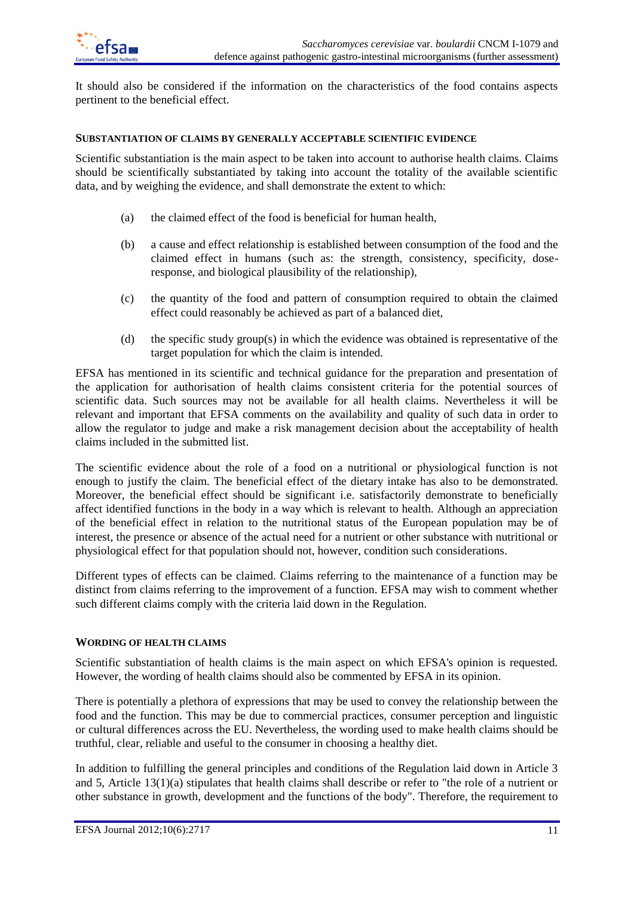It should also be considered if the information on the characteristics of the food contains aspects pertinent to the beneficial effect.

#### **SUBSTANTIATION OF CLAIMS BY GENERALLY ACCEPTABLE SCIENTIFIC EVIDENCE**

Scientific substantiation is the main aspect to be taken into account to authorise health claims. Claims should be scientifically substantiated by taking into account the totality of the available scientific data, and by weighing the evidence, and shall demonstrate the extent to which:

- (a) the claimed effect of the food is beneficial for human health,
- (b) a cause and effect relationship is established between consumption of the food and the claimed effect in humans (such as: the strength, consistency, specificity, doseresponse, and biological plausibility of the relationship),
- (c) the quantity of the food and pattern of consumption required to obtain the claimed effect could reasonably be achieved as part of a balanced diet,
- (d) the specific study group(s) in which the evidence was obtained is representative of the target population for which the claim is intended.

EFSA has mentioned in its scientific and technical guidance for the preparation and presentation of the application for authorisation of health claims consistent criteria for the potential sources of scientific data. Such sources may not be available for all health claims. Nevertheless it will be relevant and important that EFSA comments on the availability and quality of such data in order to allow the regulator to judge and make a risk management decision about the acceptability of health claims included in the submitted list.

The scientific evidence about the role of a food on a nutritional or physiological function is not enough to justify the claim. The beneficial effect of the dietary intake has also to be demonstrated. Moreover, the beneficial effect should be significant i.e. satisfactorily demonstrate to beneficially affect identified functions in the body in a way which is relevant to health. Although an appreciation of the beneficial effect in relation to the nutritional status of the European population may be of interest, the presence or absence of the actual need for a nutrient or other substance with nutritional or physiological effect for that population should not, however, condition such considerations.

Different types of effects can be claimed. Claims referring to the maintenance of a function may be distinct from claims referring to the improvement of a function. EFSA may wish to comment whether such different claims comply with the criteria laid down in the Regulation.

#### **WORDING OF HEALTH CLAIMS**

Scientific substantiation of health claims is the main aspect on which EFSA's opinion is requested. However, the wording of health claims should also be commented by EFSA in its opinion.

There is potentially a plethora of expressions that may be used to convey the relationship between the food and the function. This may be due to commercial practices, consumer perception and linguistic or cultural differences across the EU. Nevertheless, the wording used to make health claims should be truthful, clear, reliable and useful to the consumer in choosing a healthy diet.

In addition to fulfilling the general principles and conditions of the Regulation laid down in Article 3 and 5, Article 13(1)(a) stipulates that health claims shall describe or refer to "the role of a nutrient or other substance in growth, development and the functions of the body". Therefore, the requirement to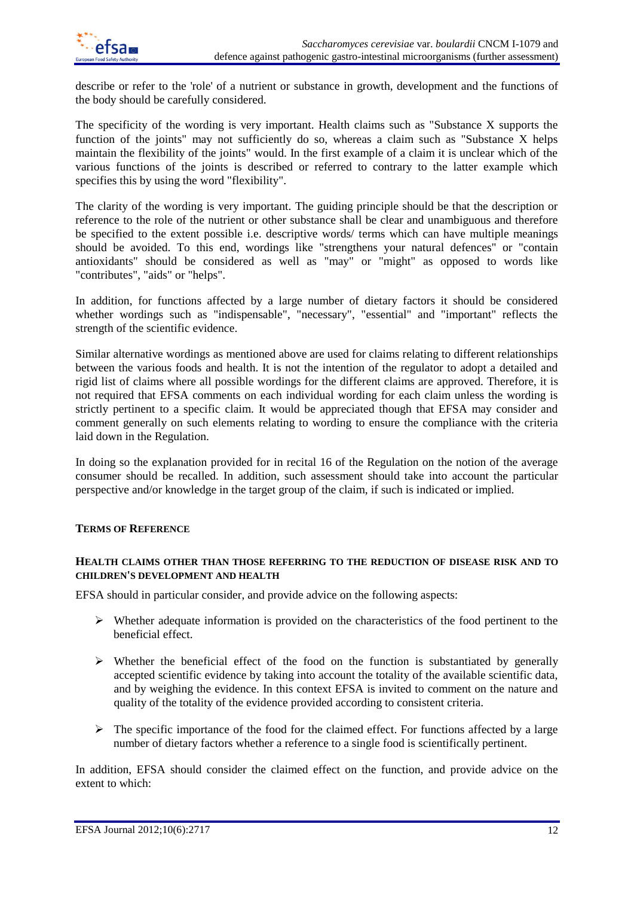

describe or refer to the 'role' of a nutrient or substance in growth, development and the functions of the body should be carefully considered.

The specificity of the wording is very important. Health claims such as "Substance X supports the function of the joints" may not sufficiently do so, whereas a claim such as "Substance X helps maintain the flexibility of the joints" would. In the first example of a claim it is unclear which of the various functions of the joints is described or referred to contrary to the latter example which specifies this by using the word "flexibility".

The clarity of the wording is very important. The guiding principle should be that the description or reference to the role of the nutrient or other substance shall be clear and unambiguous and therefore be specified to the extent possible i.e. descriptive words/ terms which can have multiple meanings should be avoided. To this end, wordings like "strengthens your natural defences" or "contain antioxidants" should be considered as well as "may" or "might" as opposed to words like "contributes", "aids" or "helps".

In addition, for functions affected by a large number of dietary factors it should be considered whether wordings such as "indispensable", "necessary", "essential" and "important" reflects the strength of the scientific evidence.

Similar alternative wordings as mentioned above are used for claims relating to different relationships between the various foods and health. It is not the intention of the regulator to adopt a detailed and rigid list of claims where all possible wordings for the different claims are approved. Therefore, it is not required that EFSA comments on each individual wording for each claim unless the wording is strictly pertinent to a specific claim. It would be appreciated though that EFSA may consider and comment generally on such elements relating to wording to ensure the compliance with the criteria laid down in the Regulation.

In doing so the explanation provided for in recital 16 of the Regulation on the notion of the average consumer should be recalled. In addition, such assessment should take into account the particular perspective and/or knowledge in the target group of the claim, if such is indicated or implied.

### **TERMS OF REFERENCE**

#### **HEALTH CLAIMS OTHER THAN THOSE REFERRING TO THE REDUCTION OF DISEASE RISK AND TO CHILDREN'S DEVELOPMENT AND HEALTH**

EFSA should in particular consider, and provide advice on the following aspects:

- $\triangleright$  Whether adequate information is provided on the characteristics of the food pertinent to the beneficial effect.
- $\triangleright$  Whether the beneficial effect of the food on the function is substantiated by generally accepted scientific evidence by taking into account the totality of the available scientific data, and by weighing the evidence. In this context EFSA is invited to comment on the nature and quality of the totality of the evidence provided according to consistent criteria.
- $\triangleright$  The specific importance of the food for the claimed effect. For functions affected by a large number of dietary factors whether a reference to a single food is scientifically pertinent.

In addition, EFSA should consider the claimed effect on the function, and provide advice on the extent to which: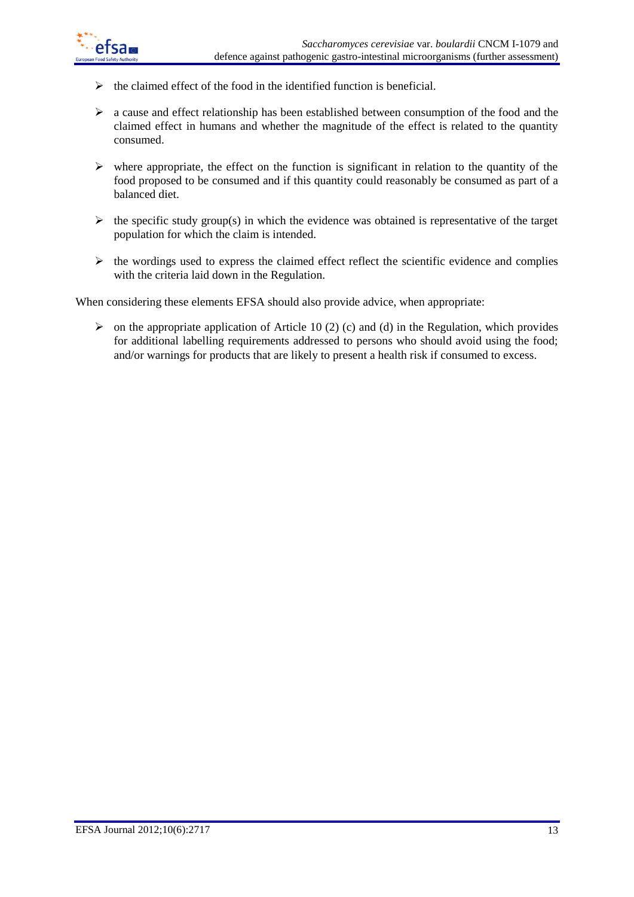

- $\triangleright$  the claimed effect of the food in the identified function is beneficial.
- $\triangleright$  a cause and effect relationship has been established between consumption of the food and the claimed effect in humans and whether the magnitude of the effect is related to the quantity consumed.
- $\triangleright$  where appropriate, the effect on the function is significant in relation to the quantity of the food proposed to be consumed and if this quantity could reasonably be consumed as part of a balanced diet.
- $\triangleright$  the specific study group(s) in which the evidence was obtained is representative of the target population for which the claim is intended.
- $\triangleright$  the wordings used to express the claimed effect reflect the scientific evidence and complies with the criteria laid down in the Regulation.

When considering these elements EFSA should also provide advice, when appropriate:

 $\triangleright$  on the appropriate application of Article 10 (2) (c) and (d) in the Regulation, which provides for additional labelling requirements addressed to persons who should avoid using the food; and/or warnings for products that are likely to present a health risk if consumed to excess.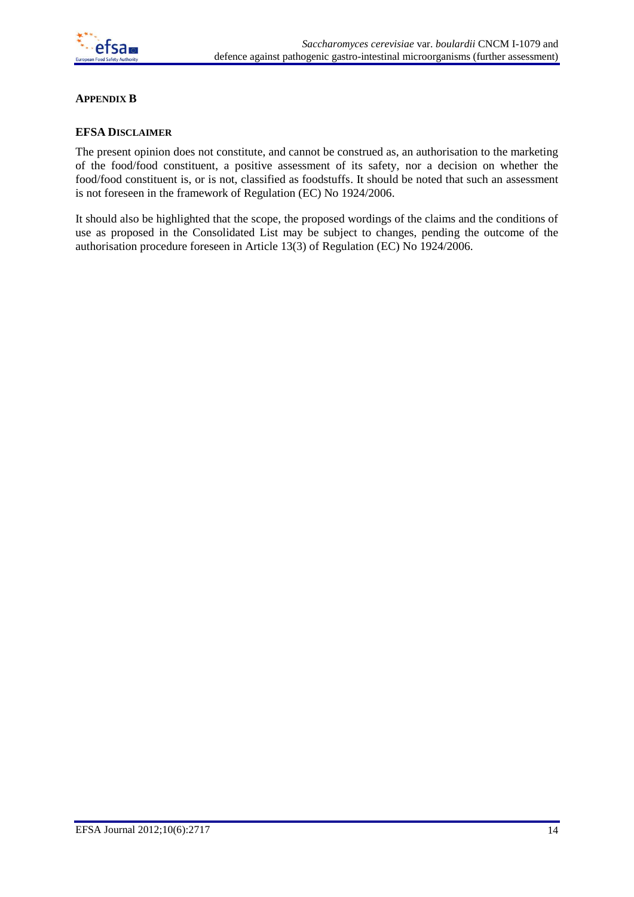

### **APPENDIX B**

#### **EFSA DISCLAIMER**

The present opinion does not constitute, and cannot be construed as, an authorisation to the marketing of the food/food constituent, a positive assessment of its safety, nor a decision on whether the food/food constituent is, or is not, classified as foodstuffs. It should be noted that such an assessment is not foreseen in the framework of Regulation (EC) No 1924/2006.

It should also be highlighted that the scope, the proposed wordings of the claims and the conditions of use as proposed in the Consolidated List may be subject to changes, pending the outcome of the authorisation procedure foreseen in Article 13(3) of Regulation (EC) No 1924/2006.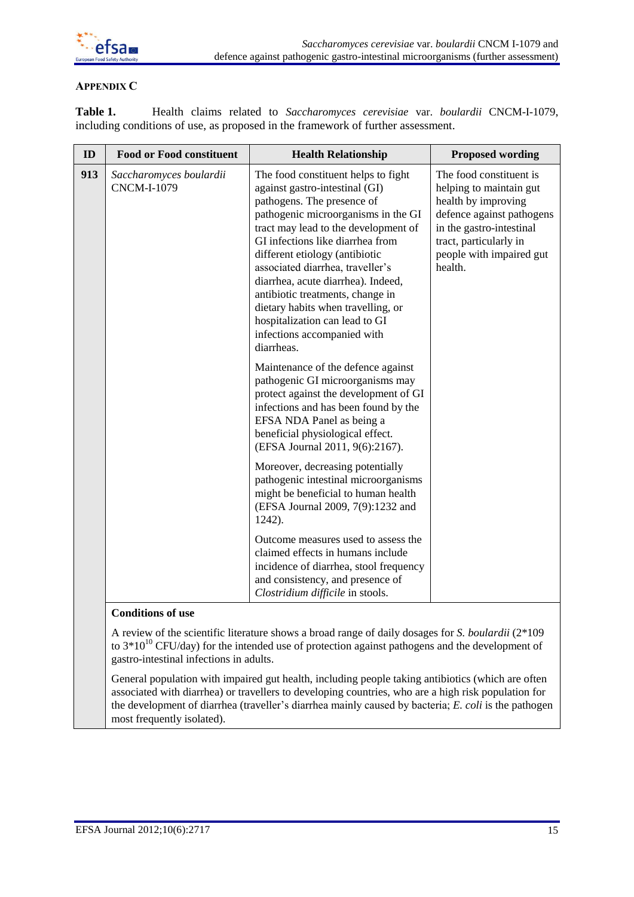

### **APPENDIX C**

**Table 1.** Health claims related to *Saccharomyces cerevisiae* var. *boulardii* CNCM-I-1079, including conditions of use, as proposed in the framework of further assessment.

| ID  | <b>Food or Food constituent</b>               | <b>Health Relationship</b>                                                                                                                                                                                                                                                                                                                                                                                                                                                                  | <b>Proposed wording</b>                                                                                                                                                                             |
|-----|-----------------------------------------------|---------------------------------------------------------------------------------------------------------------------------------------------------------------------------------------------------------------------------------------------------------------------------------------------------------------------------------------------------------------------------------------------------------------------------------------------------------------------------------------------|-----------------------------------------------------------------------------------------------------------------------------------------------------------------------------------------------------|
| 913 | Saccharomyces boulardii<br><b>CNCM-I-1079</b> | The food constituent helps to fight<br>against gastro-intestinal (GI)<br>pathogens. The presence of<br>pathogenic microorganisms in the GI<br>tract may lead to the development of<br>GI infections like diarrhea from<br>different etiology (antibiotic<br>associated diarrhea, traveller's<br>diarrhea, acute diarrhea). Indeed,<br>antibiotic treatments, change in<br>dietary habits when travelling, or<br>hospitalization can lead to GI<br>infections accompanied with<br>diarrheas. | The food constituent is<br>helping to maintain gut<br>health by improving<br>defence against pathogens<br>in the gastro-intestinal<br>tract, particularly in<br>people with impaired gut<br>health. |
|     |                                               | Maintenance of the defence against<br>pathogenic GI microorganisms may<br>protect against the development of GI<br>infections and has been found by the<br>EFSA NDA Panel as being a<br>beneficial physiological effect.<br>(EFSA Journal 2011, 9(6):2167).                                                                                                                                                                                                                                 |                                                                                                                                                                                                     |
|     |                                               | Moreover, decreasing potentially<br>pathogenic intestinal microorganisms<br>might be beneficial to human health<br>(EFSA Journal 2009, 7(9):1232 and<br>1242).                                                                                                                                                                                                                                                                                                                              |                                                                                                                                                                                                     |
|     |                                               | Outcome measures used to assess the<br>claimed effects in humans include<br>incidence of diarrhea, stool frequency<br>and consistency, and presence of<br>Clostridium difficile in stools.                                                                                                                                                                                                                                                                                                  |                                                                                                                                                                                                     |

### **Conditions of use**

A review of the scientific literature shows a broad range of daily dosages for *S. boulardii* (2\*109 to  $3*10^{10}$  CFU/day) for the intended use of protection against pathogens and the development of gastro-intestinal infections in adults.

General population with impaired gut health, including people taking antibiotics (which are often associated with diarrhea) or travellers to developing countries, who are a high risk population for the development of diarrhea (traveller's diarrhea mainly caused by bacteria; *E. coli* is the pathogen most frequently isolated).